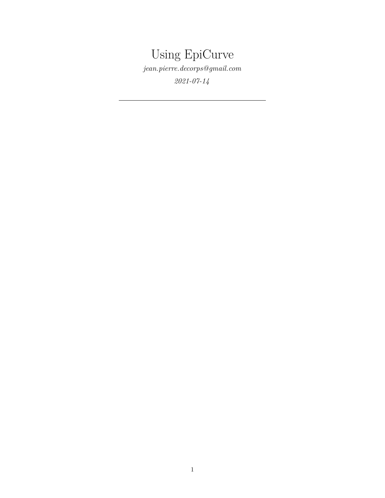# Using EpiCurve

*[jean.pierre.decorps@gmail.com](mailto:jean.pierre.decorps@gmail.com)*

*2021-07-14*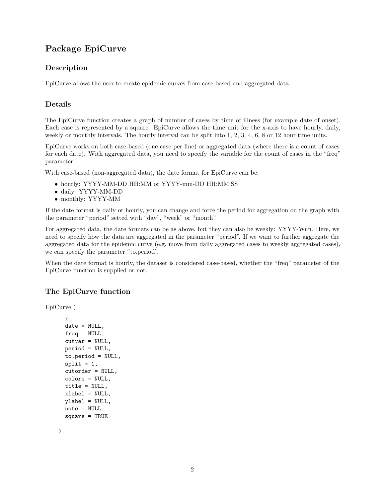## **Package EpiCurve**

#### **Description**

EpiCurve allows the user to create epidemic curves from case-based and aggregated data.

#### **Details**

The EpiCurve function creates a graph of number of cases by time of illness (for example date of onset). Each case is represented by a square. EpiCurve allows the time unit for the x-axis to have hourly, daily, weekly or monthly intervals. The hourly interval can be split into 1, 2, 3, 4, 6, 8 or 12 hour time units.

EpiCurve works on both case-based (one case per line) or aggregated data (where there is a count of cases for each date). With aggregated data, you need to specify the variable for the count of cases in the "freq" parameter.

With case-based (non-aggregated data), the date format for EpiCurve can be:

- hourly: YYYY-MM-DD HH:MM or YYYY-mm-DD HH:MM:SS
- daily: YYYY-MM-DD
- monthly: YYYY-MM

If the date format is daily or hourly, you can change and force the period for aggregation on the graph with the parameter "period" setted with "day", "week" or "month".

For aggregated data, the date formats can be as above, but they can also be weekly: YYYY-Wnn. Here, we need to specify how the data are aggregated in the parameter "period". If we want to further aggregate the aggregated data for the epidemic curve (e.g. move from daily aggregated cases to weekly aggregated cases), we can specify the parameter "to.period".

When the date format is hourly, the dataset is considered case-based, whether the "freq" parameter of the EpiCurve function is supplied or not.

#### **The EpiCurve function**

EpiCurve (

```
x,
date = NULL,
freq = NULL,
cutvar = NULL,
period = NULL,
to.period = NULL,
split = 1,cutorder = NULL,
colors = NULL,
title = NULL,
xlabel = NULL,
ylabel = NULL,
note = NULL,
square = TRUE
```
)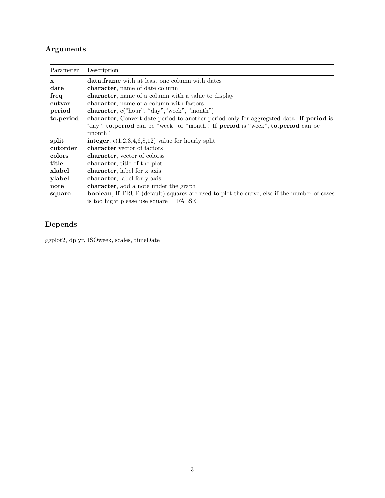## **Arguments**

| Parameter    | Description                                                                                        |
|--------------|----------------------------------------------------------------------------------------------------|
| $\mathbf{x}$ | <b>data.frame</b> with at least one column with dates                                              |
| date         | character, name of date column                                                                     |
| freq         | character, name of a column with a value to display                                                |
| cutvar       | character, name of a column with factors                                                           |
| period       | character, $c("hour", "day", "week", "month")$                                                     |
| to.period    | character, Convert date period to another period only for aggregated data. If period is            |
|              | "day", to.period can be "week" or "month". If period is "week", to.period can be                   |
|              | "month".                                                                                           |
| split        | integer, $c(1,2,3,4,6,8,12)$ value for hourly split                                                |
| cutorder     | character vector of factors                                                                        |
| colors       | character, vector of colorss                                                                       |
| title        | character, title of the plot                                                                       |
| xlabel       | character, label for x axis                                                                        |
| ylabel       | character, label for y axis                                                                        |
| note         | <b>character</b> , add a note under the graph                                                      |
| square       | <b>boolean</b> , If TRUE (default) squares are used to plot the curve, else if the number of cases |
|              | is too hight please use square $=$ FALSE.                                                          |

## **Depends**

ggplot2, dplyr, ISOweek, scales, timeDate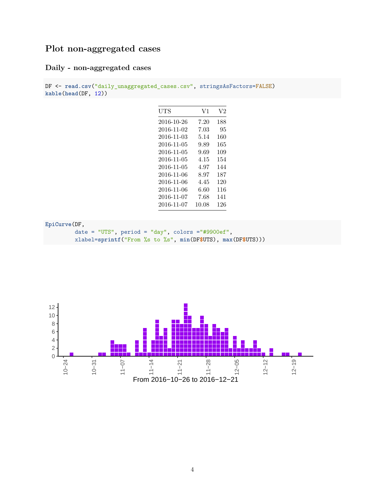## **Plot non-aggregated cases**

### **Daily - non-aggregated cases**

```
DF <- read.csv("daily_unaggregated_cases.csv", stringsAsFactors=FALSE)
kable(head(DF, 12))
```

| UTS        | V1       | V2  |
|------------|----------|-----|
| 2016-10-26 | 7.20     | 188 |
| 2016-11-02 | 7.03     | 95  |
| 2016-11-03 | 5.14     | 160 |
| 2016-11-05 | 9.89     | 165 |
| 2016-11-05 | 9.69     | 109 |
| 2016-11-05 | $4.15\,$ | 154 |
| 2016-11-05 | 4.97     | 144 |
| 2016-11-06 | 8.97     | 187 |
| 2016-11-06 | 4.45     | 120 |
| 2016-11-06 | 6.60     | 116 |
| 2016-11-07 | 7.68     | 141 |
| 2016-11-07 | 10.08    | 126 |

**EpiCurve**(DF,

date = "UTS", period = "day", colors ="#9900ef", xlabel=**sprintf**("From %s to %s", **min**(DF**\$**UTS), **max**(DF**\$**UTS)))

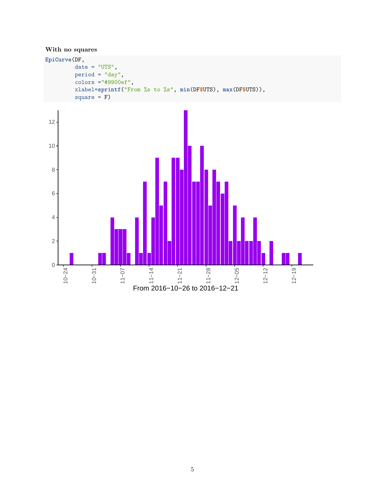#### **With no squares**

 $\overline{0}$ 

10−24

10−31

11−07



11−14<br>11−21<br>12−05

From 2016−10−26 to 2016−12−21

12−12

12−19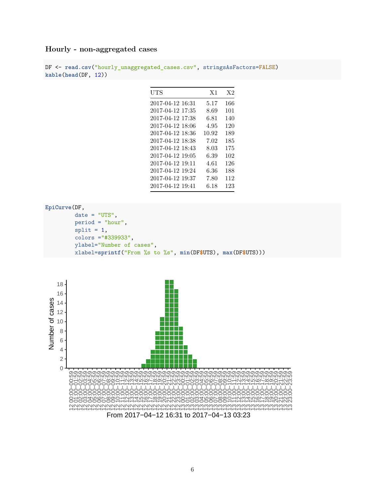#### **Hourly - non-aggregated cases**

```
DF <- read.csv("hourly_unaggregated_cases.csv", stringsAsFactors=FALSE)
kable(head(DF, 12))
```

| UTS              | X <sub>1</sub> | X2  |
|------------------|----------------|-----|
| 2017-04-12 16:31 | 5.17           | 166 |
| 2017-04-12 17:35 | 8.69           | 101 |
| 2017-04-12 17:38 | 6.81           | 140 |
| 2017-04-12 18:06 | 4.95           | 120 |
| 2017-04-12 18:36 | 10.92          | 189 |
| 2017-04-12 18:38 | 7.02           | 185 |
| 2017-04-12 18:43 | 8.03           | 175 |
| 2017-04-12 19:05 | 6.39           | 102 |
| 2017-04-12 19:11 | 4.61           | 126 |
| 2017-04-12 19:24 | 6.36           | 188 |
| 2017-04-12 19:37 | 7.80           | 112 |
| 2017-04-12 19:41 | 6.18           | 123 |

**EpiCurve**(DF,

```
date = "UTS",period = "hour",
split = 1,colors ="#339933",
ylabel="Number of cases",
xlabel=sprintf("From %s to %s", min(DF$UTS), max(DF$UTS)))
```
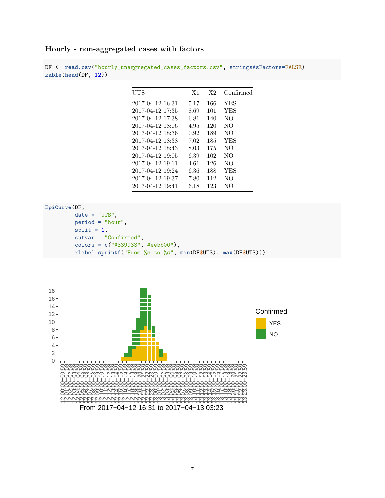#### **Hourly - non-aggregated cases with factors**

DF <- **read.csv**("hourly\_unaggregated\_cases\_factors.csv", stringsAsFactors=FALSE) **kable**(**head**(DF, 12))

| UTS              | X <sub>1</sub> | X2  | Confirmed  |
|------------------|----------------|-----|------------|
| 2017-04-12 16:31 | 5.17           | 166 | YES        |
| 2017-04-12 17:35 | 8.69           | 101 | YES        |
| 2017-04-12 17:38 | 6.81           | 140 | NΟ         |
| 2017-04-12 18:06 | 4.95           | 120 | NO.        |
| 2017-04-12 18:36 | 10.92          | 189 | NO.        |
| 2017-04-12 18:38 | 7.02           | 185 | <b>YES</b> |
| 2017-04-12 18:43 | 8.03           | 175 | NO.        |
| 2017-04-12 19:05 | 6.39           | 102 | NO.        |
| 2017-04-12 19:11 | 4.61           | 126 | NO         |
| 2017-04-12 19:24 | 6.36           | 188 | <b>YES</b> |
| 2017-04-12 19:37 | 7.80           | 112 | NO.        |
| 2017-04-12 19:41 | 6.18           | 123 | NО         |

#### **EpiCurve**(DF,

```
date = "UTS",period = "hour",
split = 1,cutvar = "Confirmed",
colors = c("#339933","#eebb00"),
xlabel=sprintf("From %s to %s", min(DF$UTS), max(DF$UTS)))
```


From 2017−04−12 16:31 to 2017−04−13 03:23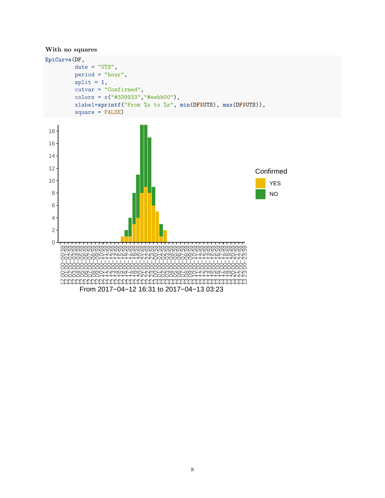#### **With no squares**

```
EpiCurve(DF,
         date = "UTS",period = "hour",
         split = 1,cutvar = "Confirmed",
         colors = c("#339933","#eebb00"),
         xlabel=sprintf("From %s to %s", min(DF$UTS), max(DF$UTS)),
         square = FALSE)
```


8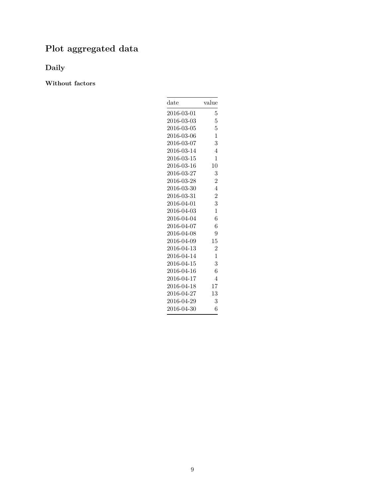## **Plot aggregated data**

**Daily**

**Without factors**

| $_{\rm date}$ | value          |
|---------------|----------------|
| 2016-03-01    | 5              |
| 2016-03-03    | 5              |
| 2016-03-05    | 5              |
| 2016-03-06    | 1              |
| 2016-03-07    | 3              |
| 2016-03-14    | 4              |
| 2016-03-15    | 1              |
| 2016-03-16    | 10             |
| 2016-03-27    | 3              |
| 2016-03-28    | $\overline{2}$ |
| 2016-03-30    | $\overline{4}$ |
| 2016-03-31    | $\overline{2}$ |
| 2016-04-01    | 3              |
| 2016-04-03    | 1              |
| 2016-04-04    | 6              |
| 2016-04-07    | 6              |
| 2016-04-08    | 9              |
| 2016-04-09    | 15             |
| 2016-04-13    | $\overline{2}$ |
| 2016-04-14    | 1              |
| 2016-04-15    | 3              |
| 2016-04-16    | 6              |
| 2016-04-17    | 4              |
| 2016-04-18    | 17             |
| 2016-04-27    | 13             |
| 2016-04-29    | 3              |
| 2016-04-30    | 6              |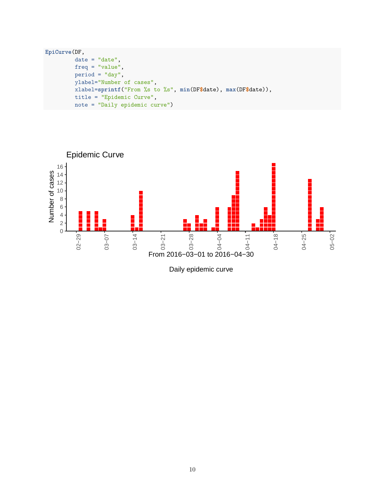```
EpiCurve(DF,
         date = "date",
        freq = "value",period = "day",ylabel="Number of cases",
        xlabel=sprintf("From %s to %s", min(DF$date), max(DF$date)),
        title = "Epidemic Curve",
        note = "Daily epidemic curve")
```


Daily epidemic curve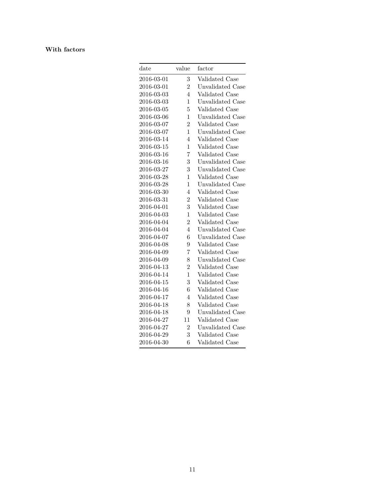#### **With factors**

| $_{\rm date}$ | value          | factor                  |
|---------------|----------------|-------------------------|
| 2016-03-01    | 3              | Validated Case          |
| 2016-03-01    | $\overline{2}$ | Unvalidated Case        |
| 2016-03-03    | 4              | Validated Case          |
| 2016-03-03    | $\mathbf 1$    | Unvalidated Case        |
| 2016-03-05    | 5              | Validated Case          |
| 2016-03-06    | $\mathbf{1}$   | Unvalidated Case        |
| 2016-03-07    | $\overline{2}$ | Validated Case          |
| 2016-03-07    | $\overline{1}$ | Unvalidated Case        |
| 2016-03-14    | 4              | Validated Case          |
| 2016-03-15    | $\mathbf{1}$   | Validated Case          |
| 2016-03-16    | 7              | Validated Case          |
| 2016-03-16    | 3              | Unvalidated Case        |
| 2016-03-27    | 3              | <b>Unvalidated Case</b> |
| 2016-03-28    | $\mathbf{1}$   | Validated Case          |
| 2016-03-28    | 1              | Unvalidated Case        |
| 2016-03-30    | $\overline{4}$ | Validated Case          |
| 2016-03-31    | $\overline{2}$ | Validated Case          |
| 2016-04-01    | 3              | Validated Case          |
| 2016-04-03    | $\mathbf{1}$   | Validated Case          |
| 2016-04-04    | $\overline{2}$ | Validated Case          |
| 2016-04-04    | 4              | Unvalidated Case        |
| 2016-04-07    | 6              | Unvalidated Case        |
| 2016-04-08    | 9              | Validated Case          |
| 2016-04-09    | 7              | Validated Case          |
| 2016-04-09    | 8              | Unvalidated Case        |
| 2016-04-13    | $\overline{2}$ | Validated Case          |
| 2016-04-14    | $\overline{1}$ | Validated Case          |
| 2016-04-15    | 3              | Validated Case          |
| 2016-04-16    | 6              | Validated Case          |
| 2016-04-17    | 4              | Validated Case          |
| 2016-04-18    | 8              | Validated Case          |
| 2016-04-18    | 9              | Unvalidated Case        |
| 2016-04-27    | 11             | Validated Case          |
| 2016-04-27    | $\overline{2}$ | Unvalidated Case        |
| 2016-04-29    | 3              | Validated Case          |
| 2016-04-30    | 6              | Validated Case          |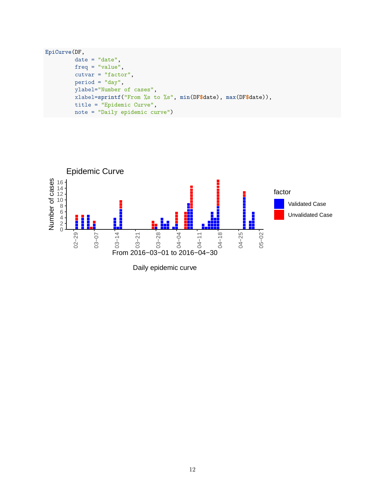```
EpiCurve(DF,
         date = "date",freq = "value",
         cutvar = "factor",
         period = "day",
         ylabel="Number of cases",
         xlabel=sprintf("From %s to %s", min(DF$date), max(DF$date)),
         title = "Epidemic Curve",
         note = "Daily epidemic curve")
```


Daily epidemic curve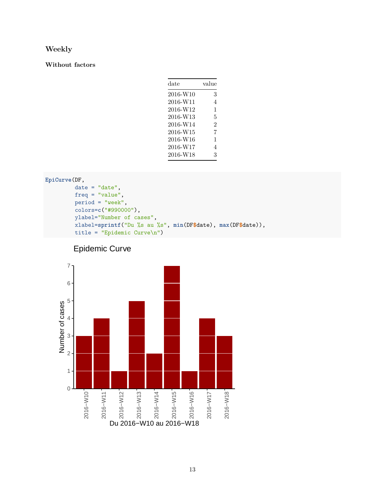#### **Weekly**

#### **Without factors**

| $_{\rm date}$ | value          |
|---------------|----------------|
| 2016-W10      | 3              |
| 2016-W11      | 4              |
| 2016-W12      | 1              |
| 2016-W13      | 5              |
| 2016-W14      | $\mathfrak{D}$ |
| 2016-W15      | 7              |
| 2016-W16      | 1              |
| 2016-W17      | 4              |
| 2016-W18      | 3              |

```
EpiCurve(DF,
         date = "date",
         freq = "value",
         period = "week",
         colors=c("#990000"),
         ylabel="Number of cases",
         xlabel=sprintf("Du %s au %s", min(DF$date), max(DF$date)),
         title = "Epidemic Curve\n")
```


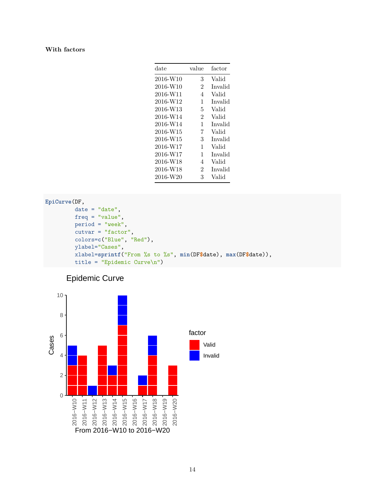#### **With factors**

| date     | value          | factor  |
|----------|----------------|---------|
| 2016-W10 | 3              | Valid   |
| 2016-W10 | $\overline{2}$ | Invalid |
| 2016-W11 | 4              | Valid   |
| 2016-W12 | 1              | Invalid |
| 2016-W13 | 5              | Valid   |
| 2016-W14 | $\overline{2}$ | Valid   |
| 2016-W14 | 1              | Invalid |
| 2016-W15 | 7              | Valid   |
| 2016-W15 | 3              | Invalid |
| 2016-W17 | 1              | Valid   |
| 2016-W17 | 1              | Invalid |
| 2016-W18 | 4              | Valid   |
| 2016-W18 | $\mathfrak{D}$ | Invalid |
| 2016-W20 | 3              | Valid   |

#### **EpiCurve**(DF, date = "date", freq = "value", period = "week", cutvar = "factor", colors=**c**("Blue", "Red"), ylabel="Cases", xlabel=**sprintf**("From %s to %s", **min**(DF**\$**date), **max**(DF**\$**date)), title = "Epidemic Curve\n")



## Epidemic Curve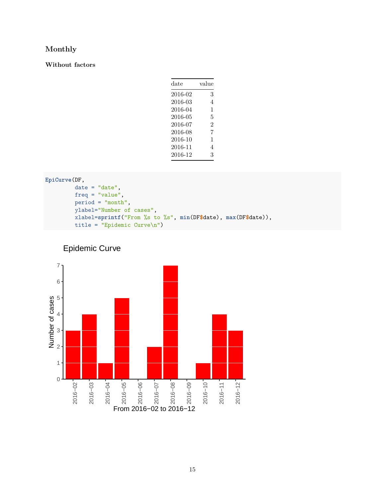#### **Monthly**

**Without factors**

| date    | value |
|---------|-------|
| 2016-02 | 3     |
| 2016-03 | 4     |
| 2016-04 | 1     |
| 2016-05 | 5     |
| 2016-07 | 2     |
| 2016-08 | 7     |
| 2016-10 | 1     |
| 2016-11 | 4     |
| 2016-12 | 3     |
|         |       |

```
EpiCurve(DF,
         date = "date",freq = "value",
         period = "month",
         ylabel="Number of cases",
         xlabel=sprintf("From %s to %s", min(DF$date), max(DF$date)),
         title = "Epidemic Curve\n")
```


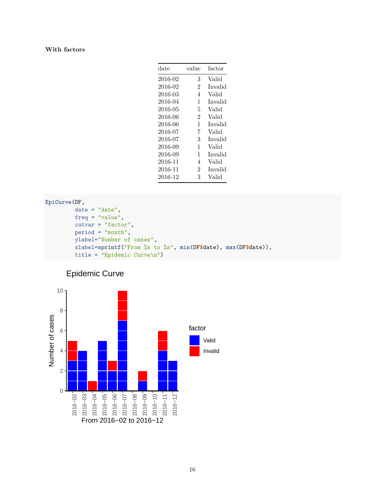#### **With factors**

| date    | value          | factor  |
|---------|----------------|---------|
| 2016-02 | 3              | Valid   |
| 2016-02 | $\overline{2}$ | Invalid |
| 2016-03 | 4              | Valid   |
| 2016-04 | 1              | Invalid |
| 2016-05 | 5              | Valid   |
| 2016-06 | $\overline{2}$ | Valid   |
| 2016-06 | 1              | Invalid |
| 2016-07 | 7              | Valid   |
| 2016-07 | 3              | Invalid |
| 2016-09 | 1              | Valid   |
| 2016-09 | 1              | Invalid |
| 2016-11 | 4              | Valid   |
| 2016-11 | $\mathfrak{D}$ | Invalid |
| 2016-12 | 3              | Valid   |
|         |                |         |

```
EpiCurve(DF,
         date = "date",
         freq = "value",
         cutvar = "factor",
         period = "month",
         ylabel="Number of cases",
         xlabel=sprintf("From %s to %s", min(DF$date), max(DF$date)),
         title = "Epidemic Curve\n")
```


## Epidemic Curve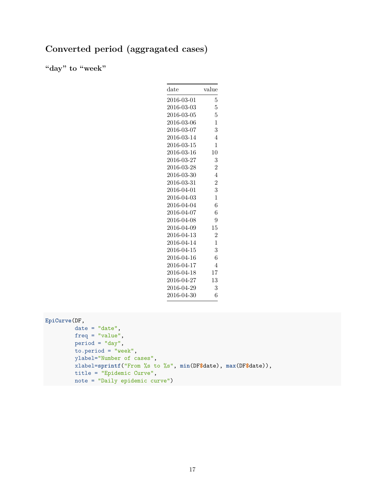## **Converted period (aggragated cases)**

**"day" to "week"**

| $_{\rm date}$ | value          |
|---------------|----------------|
| 2016-03-01    | 5              |
| 2016-03-03    | 5              |
| 2016-03-05    | 5              |
| 2016-03-06    | $\mathbf{1}$   |
| 2016-03-07    | 3              |
| 2016-03-14    | $\overline{4}$ |
| 2016-03-15    | 1              |
| 2016-03-16    | 10             |
| 2016-03-27    | 3              |
| 2016-03-28    | $\overline{2}$ |
| 2016-03-30    | $\overline{4}$ |
| 2016-03-31    | $\overline{2}$ |
| 2016-04-01    | 3              |
| 2016-04-03    | $\mathbf{1}$   |
| 2016-04-04    | 6              |
| 2016-04-07    | 6              |
| 2016-04-08    | 9              |
| 2016-04-09    | 15             |
| 2016-04-13    | $\overline{2}$ |
| 2016-04-14    | $\mathbf 1$    |
| 2016-04-15    | 3              |
| 2016-04-16    | 6              |
| 2016-04-17    | $\overline{4}$ |
| 2016-04-18    | 17             |
| 2016-04-27    | 13             |
| 2016-04-29    | 3              |
| 2016-04-30    | 6              |

```
EpiCurve(DF,
```

```
date = "date",freq = "value",
period = "day",
to.period = "week",
ylabel="Number of cases",
xlabel=sprintf("From %s to %s", min(DF$date), max(DF$date)),
title = "Epidemic Curve",
note = "Daily epidemic curve")
```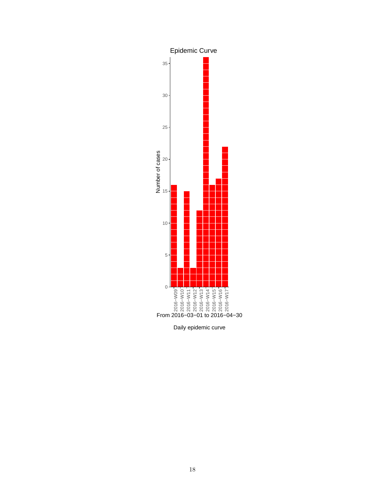

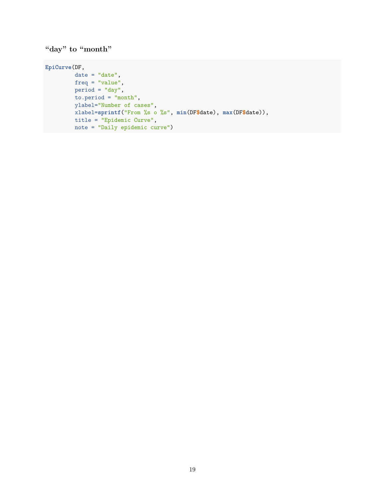### **"day" to "month"**

```
EpiCurve(DF,
        date = "date",freq = "value",
       period = "day",to.period = "month",
        ylabel="Number of cases",
        xlabel=sprintf("From %s o %s", min(DF$date), max(DF$date)),
       title = "Epidemic Curve",
        note = "Daily epidemic curve")
```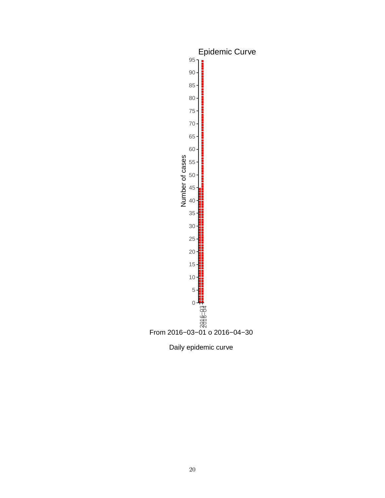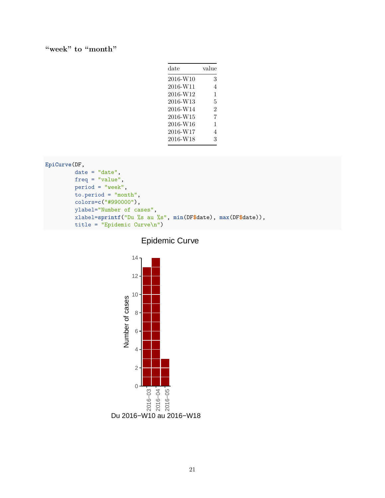#### **"week" to "month"**

| $_{\rm date}$ | value |
|---------------|-------|
| 2016-W10      | 3     |
| 2016-W11      | 4     |
| 2016-W12      | 1     |
| 2016-W13      | 5     |
| 2016-W14      | 2     |
| 2016-W15      | 7     |
| 2016-W16      | 1     |
| 2016-W17      | 4     |
| 2016-W18      | 3     |
|               |       |

```
EpiCurve(DF,
         date = "date",
         freq = "value",
         period = "week",
         to.period = "month",
         colors=c("#990000"),
         ylabel="Number of cases",
         xlabel=sprintf("Du %s au %s", min(DF$date), max(DF$date)),
         title = "Epidemic Curve\n")
```


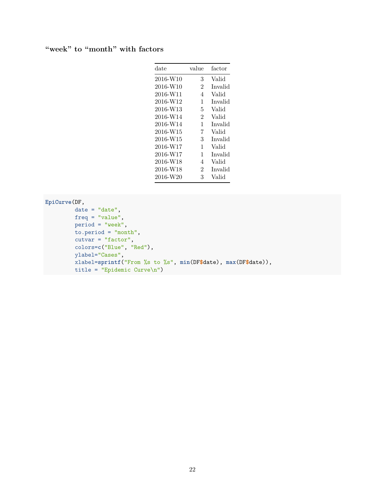#### **"week" to "month" with factors**

| date     | value          | factor  |
|----------|----------------|---------|
| 2016-W10 | 3              | Valid   |
| 2016-W10 | $\overline{2}$ | Invalid |
| 2016-W11 | 4              | Valid   |
| 2016-W12 | 1              | Invalid |
| 2016-W13 | 5              | Valid   |
| 2016-W14 | $\overline{2}$ | Valid   |
| 2016-W14 | 1              | Invalid |
| 2016-W15 | 7              | Valid   |
| 2016-W15 | 3              | Invalid |
| 2016-W17 | 1              | Valid   |
| 2016-W17 | 1              | Invalid |
| 2016-W18 | 4              | Valid   |
| 2016-W18 | $\overline{2}$ | Invalid |
| 2016-W20 | 3              | Valid   |
|          |                |         |

#### **EpiCurve**(DF,

 $date = "date",$ freq = "value", period = "week", to.period = "month", cutvar =  $"factor"$ , colors=**c**("Blue", "Red"), ylabel="Cases", xlabel=**sprintf**("From %s to %s", **min**(DF**\$**date), **max**(DF**\$**date)), title = "Epidemic Curve\n")